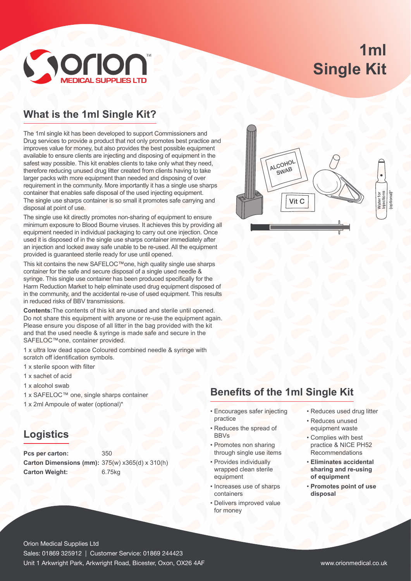# **1ml Single Kit**



### **What is the 1ml Single Kit?**

The 1ml single kit has been developed to support Commissioners and Drug services to provide a product that not only promotes best practice and improves value for money, but also provides the best possible equipment available to ensure clients are injecting and disposing of equipment in the safest way possible. This kit enables clients to take only what they need, therefore reducing unused drug litter created from clients having to take larger packs with more equipment than needed and disposing of over requirement in the community. More importantly it has a single use sharps container that enables safe disposal of the used injecting equipment. The single use sharps container is so small it promotes safe carrying and disposal at point of use.

The single use kit directly promotes non-sharing of equipment to ensure minimum exposure to Blood Bourne viruses. It achieves this by providing all equipment needed in individual packaging to carry out one injection. Once used it is disposed of in the single use sharps container immediately after an injection and locked away safe unable to be re-used. All the equipment provided is guaranteed sterile ready for use until opened.

This kit contains the new SAFELOC™one, high quality single use sharps container for the safe and secure disposal of a single used needle & syringe. This single use container has been produced specifically for the Harm Reduction Market to help eliminate used drug equipment disposed of in the community, and the accidental re-use of used equipment. This results in reduced risks of BBV transmissions.

**Contents:**The contents of this kit are unused and sterile until opened. Do not share this equipment with anyone or re-use the equipment again. Please ensure you dispose of all litter in the bag provided with the kit and that the used needle & syringe is made safe and secure in the SAFELOC™one, container provided.

1 x ultra low dead space Coloured combined needle & syringe with scratch off identification symbols.

- 1 x sterile spoon with filter
- 1 x sachet of acid
- 1 x alcohol swab
- 1 x SAFELOC™ one, single sharps container
- 1 x 2ml Ampoule of water (optional)\*

#### **Logistics**

Pcs per carton: 350 **Carton Dimensions (mm):** 375(w) x365(d) x 310(h) **Carton Weight:** 6.75kg



#### **Benefits of the 1ml Single Kit**

- Encourages safer injecting practice
- Reduces the spread of BBVs
- Promotes non sharing through single use items
- Provides individually wrapped clean sterile equipment
- Increases use of sharps containers
- Delivers improved value for money
- Reduces used drug litter
- Reduces unused equipment waste
- Complies with best practice & NICE PH52 Recommendations
- **Eliminates accidental sharing and re-using of equipment**
- **Promotes point of use disposal**

Orion Medical Supplies Ltd Sales: 01869 325912 | Customer Service: 01869 244423 Unit 1 Arkwright Park, Arkwright Road, Bicester, Oxon, OX26 4AF